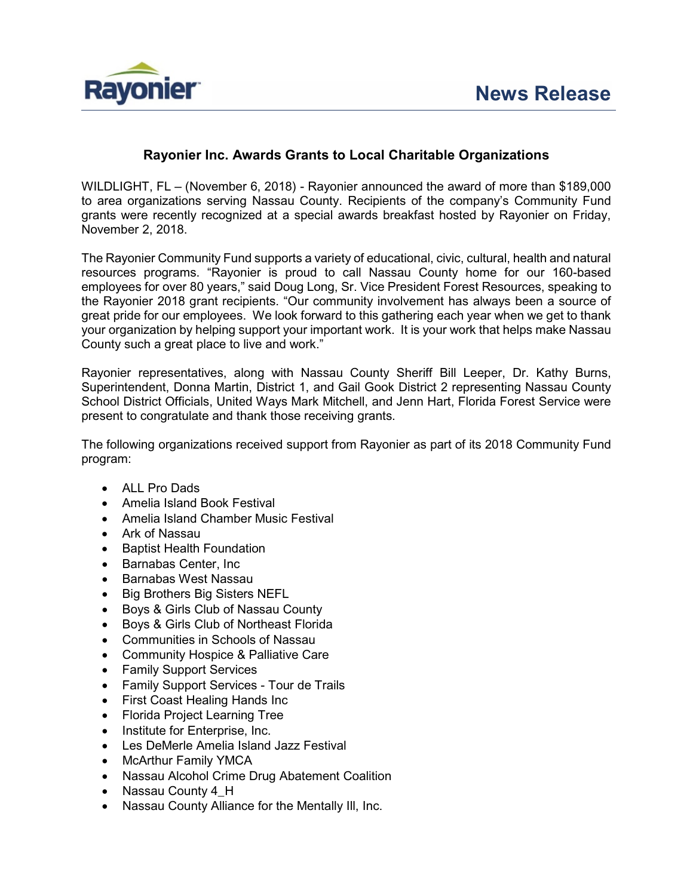

# **Rayonier Inc. Awards Grants to Local Charitable Organizations**

WILDLIGHT, FL – (November 6, 2018) - Rayonier announced the award of more than \$189,000 to area organizations serving Nassau County. Recipients of the company's Community Fund grants were recently recognized at a special awards breakfast hosted by Rayonier on Friday, November 2, 2018.

The Rayonier Community Fund supports a variety of educational, civic, cultural, health and natural resources programs. "Rayonier is proud to call Nassau County home for our 160-based employees for over 80 years," said Doug Long, Sr. Vice President Forest Resources, speaking to the Rayonier 2018 grant recipients. "Our community involvement has always been a source of great pride for our employees. We look forward to this gathering each year when we get to thank your organization by helping support your important work. It is your work that helps make Nassau County such a great place to live and work."

Rayonier representatives, along with Nassau County Sheriff Bill Leeper, Dr. Kathy Burns, Superintendent, Donna Martin, District 1, and Gail Gook District 2 representing Nassau County School District Officials, United Ways Mark Mitchell, and Jenn Hart, Florida Forest Service were present to congratulate and thank those receiving grants.

The following organizations received support from Rayonier as part of its 2018 Community Fund program:

- ALL Pro Dads
- Amelia Island Book Festival
- Amelia Island Chamber Music Festival
- Ark of Nassau
- Baptist Health Foundation
- Barnabas Center, Inc
- Barnabas West Nassau
- Big Brothers Big Sisters NEFL
- Boys & Girls Club of Nassau County
- Boys & Girls Club of Northeast Florida
- Communities in Schools of Nassau
- Community Hospice & Palliative Care
- Family Support Services
- Family Support Services Tour de Trails
- First Coast Healing Hands Inc
- Florida Project Learning Tree
- Institute for Enterprise, Inc.
- Les DeMerle Amelia Island Jazz Festival
- McArthur Family YMCA
- Nassau Alcohol Crime Drug Abatement Coalition
- Nassau County 4 H
- Nassau County Alliance for the Mentally Ill, Inc.